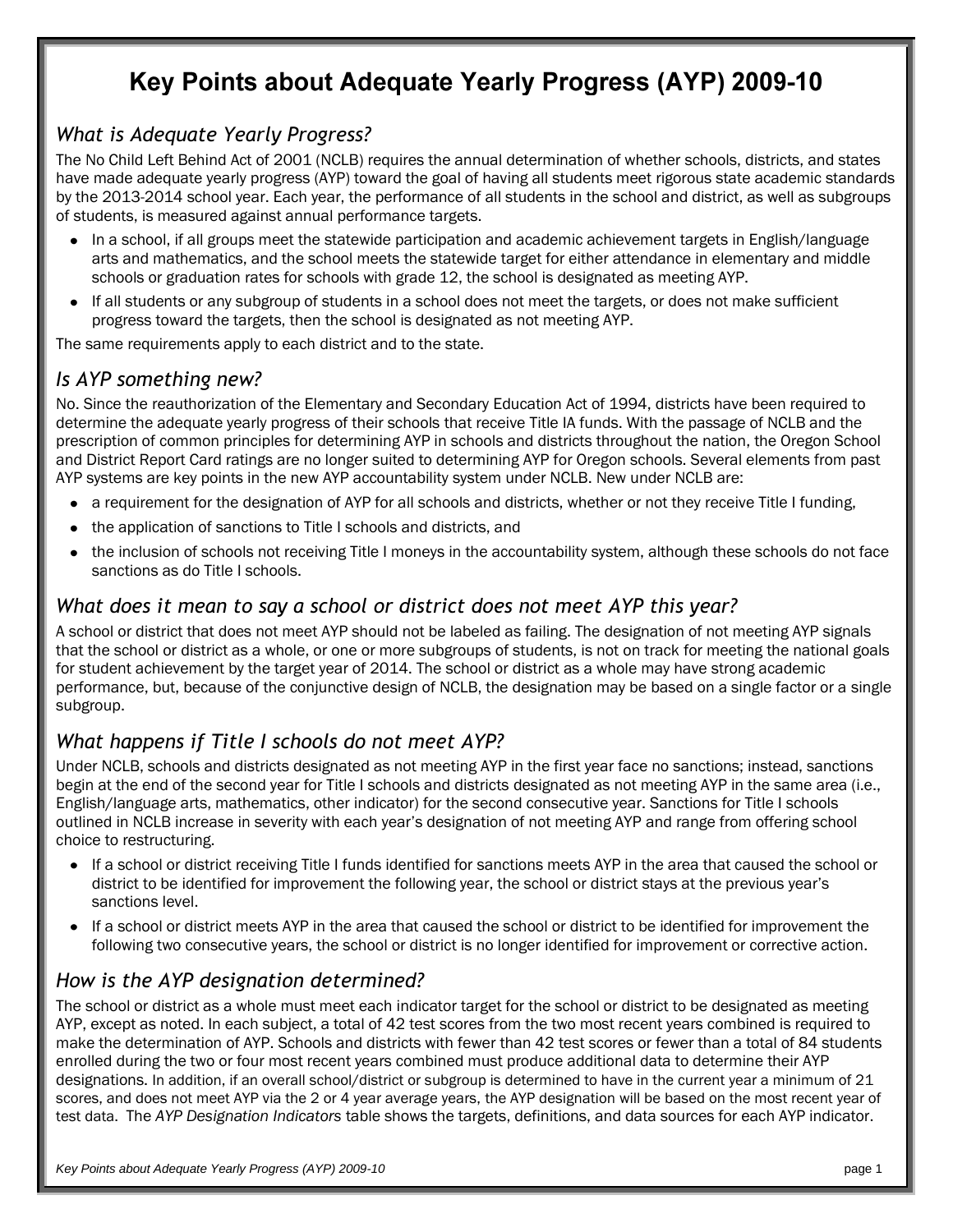# Key Points about Adequate Yearly Progress (AYP) 2009-10

### *What is Adequate Yearly Progress?*

The No Child Left Behind Act of 2001 (NCLB) requires the annual determination of whether schools, districts, and states have made adequate yearly progress (AYP) toward the goal of having all students meet rigorous state academic standards by the 2013-2014 school year. Each year, the performance of all students in the school and district, as well as subgroups of students, is measured against annual performance targets.

- In a school, if all groups meet the statewide participation and academic achievement targets in English/language  $\bullet$ arts and mathematics, and the school meets the statewide target for either attendance in elementary and middle schools or graduation rates for schools with grade 12, the school is designated as meeting AYP.
- If all students or any subgroup of students in a school does not meet the targets, or does not make sufficient  $\bullet$ progress toward the targets, then the school is designated as not meeting AYP.

The same requirements apply to each district and to the state.

### *Is AYP something new?*

No. Since the reauthorization of the Elementary and Secondary Education Act of 1994, districts have been required to determine the adequate yearly progress of their schools that receive Title IA funds. With the passage of NCLB and the prescription of common principles for determining AYP in schools and districts throughout the nation, the Oregon School and District Report Card ratings are no longer suited to determining AYP for Oregon schools. Several elements from past AYP systems are key points in the new AYP accountability system under NCLB. New under NCLB are:

- a requirement for the designation of AYP for all schools and districts, whether or not they receive Title I funding,
- the application of sanctions to Title I schools and districts, and
- the inclusion of schools not receiving Title I moneys in the accountability system, although these schools do not face  $\bullet$ sanctions as do Title I schools.

#### *What does it mean to say a school or district does not meet AYP this year?*

A school or district that does not meet AYP should not be labeled as failing. The designation of not meeting AYP signals that the school or district as a whole, or one or more subgroups of students, is not on track for meeting the national goals for student achievement by the target year of 2014. The school or district as a whole may have strong academic performance, but, because of the conjunctive design of NCLB, the designation may be based on a single factor or a single subgroup.

#### *What happens if Title I schools do not meet AYP?*

Under NCLB, schools and districts designated as not meeting AYP in the first year face no sanctions; instead, sanctions begin at the end of the second year for Title I schools and districts designated as not meeting AYP in the same area (i.e., English/language arts, mathematics, other indicator) for the second consecutive year. Sanctions for Title I schools outlined in NCLB increase in severity with each year's designation of not meeting AYP and range from offering school choice to restructuring.

- If a school or district receiving Title I funds identified for sanctions meets AYP in the area that caused the school or  $\bullet$ district to be identified for improvement the following year, the school or district stays at the previous year's sanctions level.
- $\bullet$ If a school or district meets AYP in the area that caused the school or district to be identified for improvement the following two consecutive years, the school or district is no longer identified for improvement or corrective action.

#### *How is the AYP designation determined?*

The school or district as a whole must meet each indicator target for the school or district to be designated as meeting AYP, except as noted. In each subject, a total of 42 test scores from the two most recent years combined is required to make the determination of AYP. Schools and districts with fewer than 42 test scores or fewer than a total of 84 students enrolled during the two or four most recent years combined must produce additional data to determine their AYP designations. In addition, if an overall school/district or subgroup is determined to have in the current year a minimum of 21 scores, and does not meet AYP via the 2 or 4 year average years, the AYP designation will be based on the most recent year of test data. The *AYP Designation Indicators* table shows the targets, definitions, and data sources for each AYP indicator.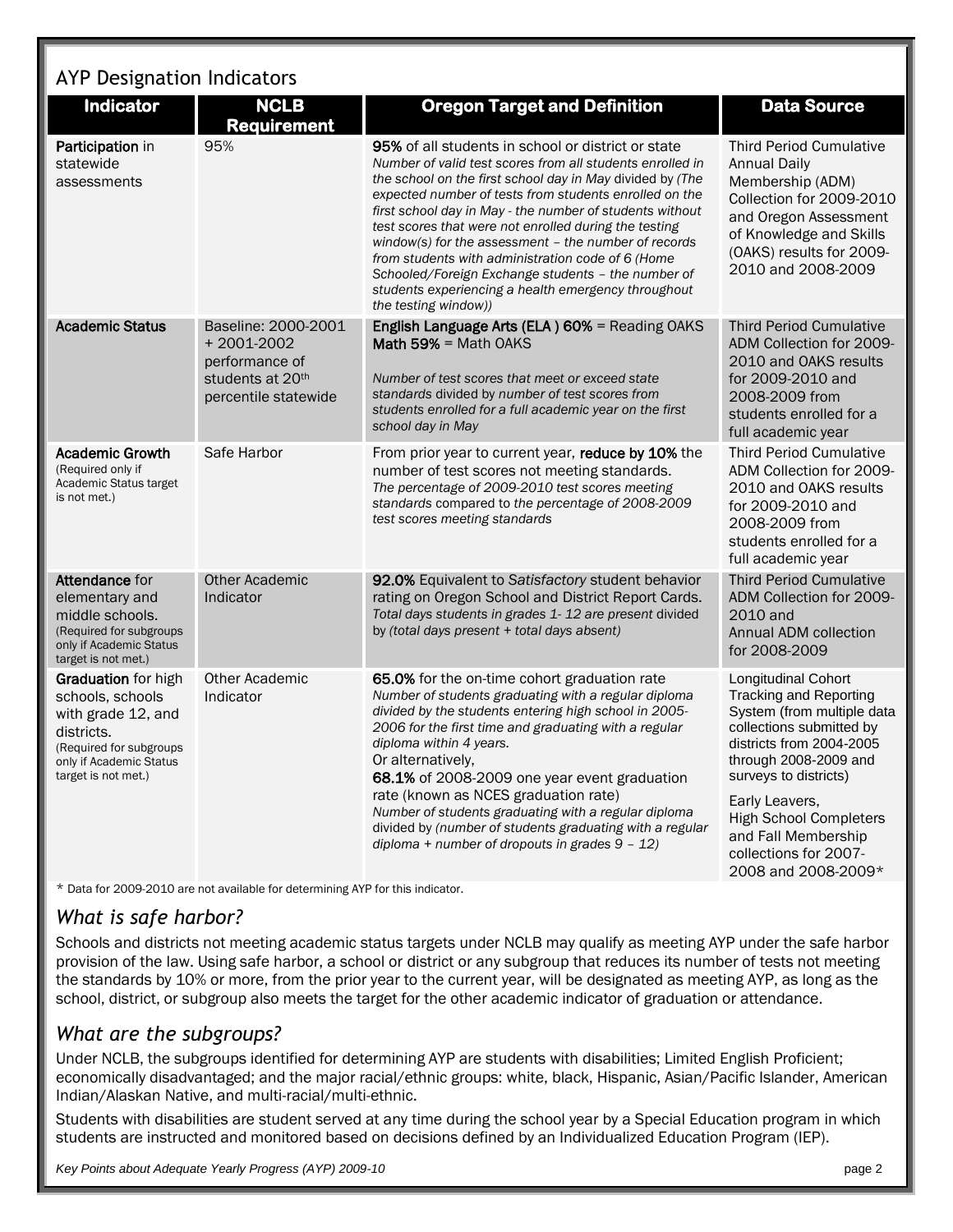# AYP Designation Indicators

| Indicator                                                                                                                                                       | <b>NCLB</b><br><b>Requirement</b>                                                               | <b>Oregon Target and Definition</b>                                                                                                                                                                                                                                                                                                                                                                                                                                                                                                                                                                                  | <b>Data Source</b>                                                                                                                                                                                          |
|-----------------------------------------------------------------------------------------------------------------------------------------------------------------|-------------------------------------------------------------------------------------------------|----------------------------------------------------------------------------------------------------------------------------------------------------------------------------------------------------------------------------------------------------------------------------------------------------------------------------------------------------------------------------------------------------------------------------------------------------------------------------------------------------------------------------------------------------------------------------------------------------------------------|-------------------------------------------------------------------------------------------------------------------------------------------------------------------------------------------------------------|
| Participation in<br>statewide<br>assessments                                                                                                                    | 95%                                                                                             | <b>95%</b> of all students in school or district or state<br>Number of valid test scores from all students enrolled in<br>the school on the first school day in May divided by (The<br>expected number of tests from students enrolled on the<br>first school day in May - the number of students without<br>test scores that were not enrolled during the testing<br>window(s) for the assessment - the number of records<br>from students with administration code of 6 (Home<br>Schooled/Foreign Exchange students - the number of<br>students experiencing a health emergency throughout<br>the testing window)) | <b>Third Period Cumulative</b><br><b>Annual Daily</b><br>Membership (ADM)<br>Collection for 2009-2010<br>and Oregon Assessment<br>of Knowledge and Skills<br>(OAKS) results for 2009-<br>2010 and 2008-2009 |
| <b>Academic Status</b>                                                                                                                                          | Baseline: 2000-2001<br>+2001-2002<br>performance of<br>students at 20th<br>percentile statewide | English Language Arts (ELA) 60% = Reading OAKS<br>Math 59% = Math OAKS<br>Number of test scores that meet or exceed state<br>standards divided by number of test scores from<br>students enrolled for a full academic year on the first<br>school day in May                                                                                                                                                                                                                                                                                                                                                         | <b>Third Period Cumulative</b><br>ADM Collection for 2009-<br>2010 and OAKS results<br>for 2009-2010 and<br>2008-2009 from<br>students enrolled for a<br>full academic year                                 |
| <b>Academic Growth</b><br>(Required only if<br>Academic Status target<br>is not met.)                                                                           | Safe Harbor                                                                                     | From prior year to current year, reduce by 10% the<br>number of test scores not meeting standards.<br>The percentage of 2009-2010 test scores meeting<br>standards compared to the percentage of 2008-2009<br>test scores meeting standards                                                                                                                                                                                                                                                                                                                                                                          | <b>Third Period Cumulative</b><br>ADM Collection for 2009-<br>2010 and OAKS results<br>for 2009-2010 and<br>2008-2009 from<br>students enrolled for a<br>full academic year                                 |
| Attendance for<br>elementary and<br>middle schools.<br>(Required for subgroups<br>only if Academic Status<br>target is not met.)                                | <b>Other Academic</b><br>Indicator                                                              | 92.0% Equivalent to Satisfactory student behavior<br>rating on Oregon School and District Report Cards.<br>Total days students in grades 1-12 are present divided<br>by (total days present + total days absent)                                                                                                                                                                                                                                                                                                                                                                                                     | <b>Third Period Cumulative</b><br>ADM Collection for 2009-<br>2010 and<br>Annual ADM collection<br>for 2008-2009                                                                                            |
| <b>Graduation</b> for high<br>schools, schools<br>with grade 12, and<br>districts.<br>(Required for subgroups<br>only if Academic Status<br>target is not met.) | <b>Other Academic</b><br>Indicator                                                              | 65.0% for the on-time cohort graduation rate<br>Number of students graduating with a regular diploma<br>divided by the students entering high school in 2005-<br>2006 for the first time and graduating with a regular<br>diploma within 4 years.<br>Or alternatively,<br>68.1% of 2008-2009 one year event graduation<br>rate (known as NCES graduation rate)<br>Number of students graduating with a regular diploma<br>divided by (number of students graduating with a regular<br>diploma + number of dropouts in grades $9 - 12$ )                                                                              | Longitudinal Cohort<br><b>Tracking and Reporting</b><br>System (from multiple data<br>collections submitted by<br>districts from 2004-2005<br>through 2008-2009 and<br>surveys to districts)                |
|                                                                                                                                                                 |                                                                                                 |                                                                                                                                                                                                                                                                                                                                                                                                                                                                                                                                                                                                                      | Early Leavers,<br><b>High School Completers</b><br>and Fall Membership<br>collections for 2007-<br>2008 and 2008-2009*                                                                                      |

\* Data for 2009-2010 are not available for determining AYP for this indicator.

#### *What is safe harbor?*

Schools and districts not meeting academic status targets under NCLB may qualify as meeting AYP under the safe harbor provision of the law. Using safe harbor, a school or district or any subgroup that reduces its number of tests not meeting the standards by 10% or more, from the prior year to the current year, will be designated as meeting AYP, as long as the school, district, or subgroup also meets the target for the other academic indicator of graduation or attendance.

#### *What are the subgroups?*

Under NCLB, the subgroups identified for determining AYP are students with disabilities; Limited English Proficient; economically disadvantaged; and the major racial/ethnic groups: white, black, Hispanic, Asian/Pacific Islander, American Indian/Alaskan Native, and multi-racial/multi-ethnic.

Students with disabilities are student served at any time during the school year by a Special Education program in which students are instructed and monitored based on decisions defined by an Individualized Education Program (IEP).

*Key Points about Adequate Yearly Progress (AYP) 2009-10* page 2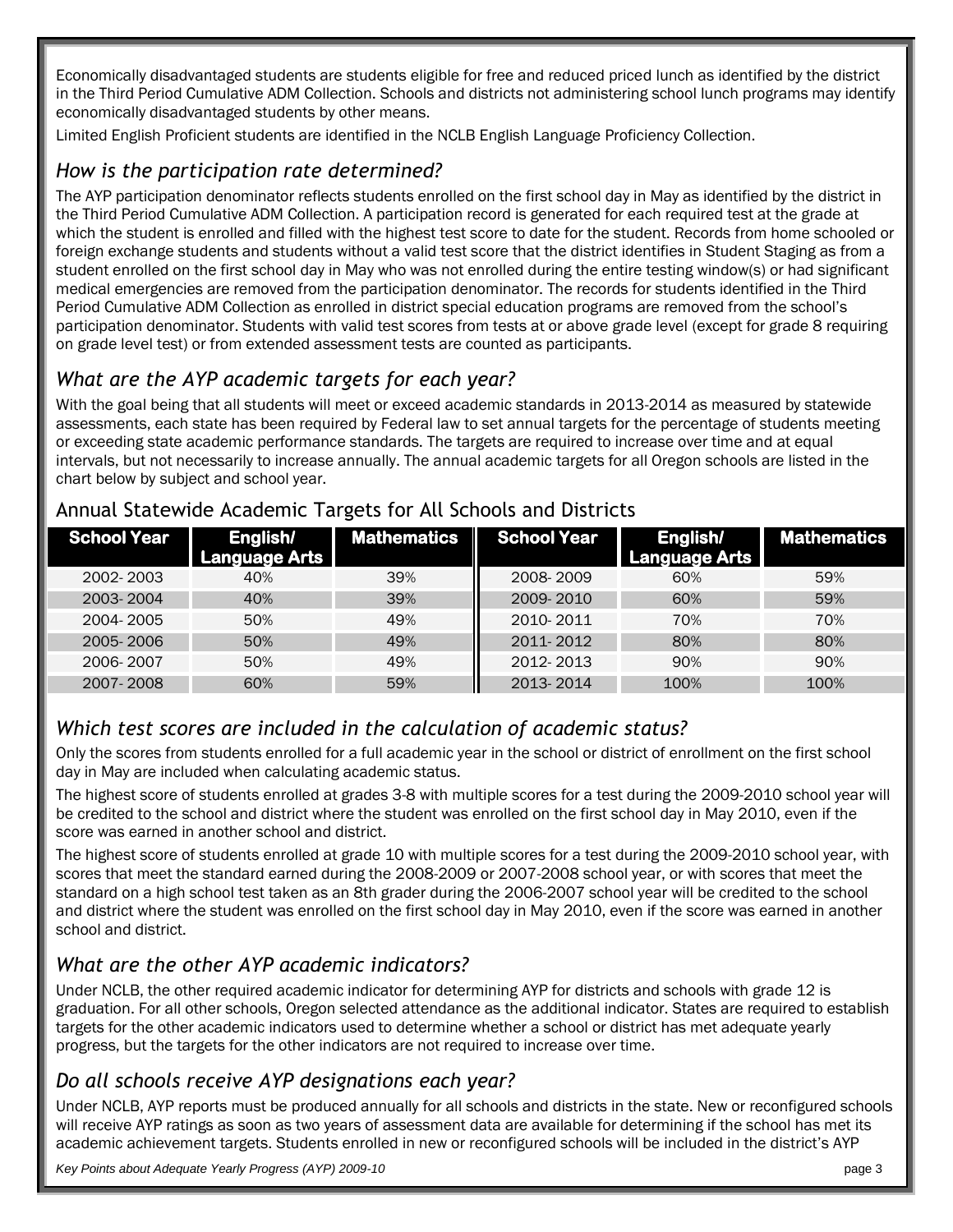Economically disadvantaged students are students eligible for free and reduced priced lunch as identified by the district in the Third Period Cumulative ADM Collection. Schools and districts not administering school lunch programs may identify economically disadvantaged students by other means.

Limited English Proficient students are identified in the NCLB English Language Proficiency Collection.

### *How is the participation rate determined?*

The AYP participation denominator reflects students enrolled on the first school day in May as identified by the district in the Third Period Cumulative ADM Collection. A participation record is generated for each required test at the grade at which the student is enrolled and filled with the highest test score to date for the student. Records from home schooled or foreign exchange students and students without a valid test score that the district identifies in Student Staging as from a student enrolled on the first school day in May who was not enrolled during the entire testing window(s) or had significant medical emergencies are removed from the participation denominator. The records for students identified in the Third Period Cumulative ADM Collection as enrolled in district special education programs are removed from the school's participation denominator. Students with valid test scores from tests at or above grade level (except for grade 8 requiring on grade level test) or from extended assessment tests are counted as participants.

## *What are the AYP academic targets for each year?*

With the goal being that all students will meet or exceed academic standards in 2013-2014 as measured by statewide assessments, each state has been required by Federal law to set annual targets for the percentage of students meeting or exceeding state academic performance standards. The targets are required to increase over time and at equal intervals, but not necessarily to increase annually. The annual academic targets for all Oregon schools are listed in the chart below by subject and school year.

| <b>School Year</b> | English/<br><b>Language Arts</b> | <b>Mathematics</b> | School Year | English/<br><b>Language Arts</b> | <b>Mathematics</b> |
|--------------------|----------------------------------|--------------------|-------------|----------------------------------|--------------------|
| 2002-2003          | 40%                              | 39%                | 2008-2009   | 60%                              | 59%                |
| 2003-2004          | 40%                              | 39%                | 2009-2010   | 60%                              | 59%                |
| 2004-2005          | 50%                              | 49%                | 2010-2011   | 70%                              | 70%                |
| 2005-2006          | 50%                              | 49%                | 2011-2012   | 80%                              | 80%                |
| 2006-2007          | 50%                              | 49%                | 2012-2013   | 90%                              | 90%                |
| 2007-2008          | 60%                              | 59%                | 2013-2014   | 100%                             | 100%               |

#### Annual Statewide Academic Targets for All Schools and Districts

## *Which test scores are included in the calculation of academic status?*

Only the scores from students enrolled for a full academic year in the school or district of enrollment on the first school day in May are included when calculating academic status.

The highest score of students enrolled at grades 3-8 with multiple scores for a test during the 2009-2010 school year will be credited to the school and district where the student was enrolled on the first school day in May 2010, even if the score was earned in another school and district.

The highest score of students enrolled at grade 10 with multiple scores for a test during the 2009-2010 school year, with scores that meet the standard earned during the 2008-2009 or 2007-2008 school year, or with scores that meet the standard on a high school test taken as an 8th grader during the 2006-2007 school year will be credited to the school and district where the student was enrolled on the first school day in May 2010, even if the score was earned in another school and district.

## *What are the other AYP academic indicators?*

Under NCLB, the other required academic indicator for determining AYP for districts and schools with grade 12 is graduation. For all other schools, Oregon selected attendance as the additional indicator. States are required to establish targets for the other academic indicators used to determine whether a school or district has met adequate yearly progress, but the targets for the other indicators are not required to increase over time.

## *Do all schools receive AYP designations each year?*

Under NCLB, AYP reports must be produced annually for all schools and districts in the state. New or reconfigured schools will receive AYP ratings as soon as two years of assessment data are available for determining if the school has met its academic achievement targets. Students enrolled in new or reconfigured schools will be included in the district's AYP

*Key Points about Adequate Yearly Progress (AYP) 2009-10* page 3